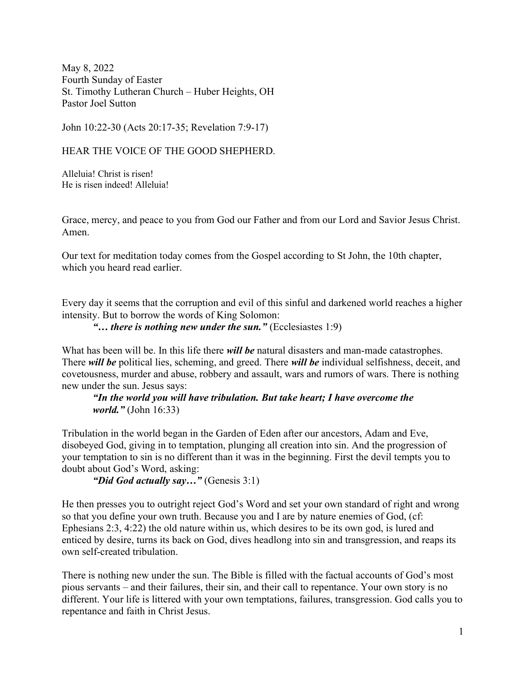May 8, 2022 Fourth Sunday of Easter St. Timothy Lutheran Church – Huber Heights, OH Pastor Joel Sutton

John 10:22-30 (Acts 20:17-35; Revelation 7:9-17)

HEAR THE VOICE OF THE GOOD SHEPHERD.

Alleluia! Christ is risen! He is risen indeed! Alleluia!

Grace, mercy, and peace to you from God our Father and from our Lord and Savior Jesus Christ. Amen.

Our text for meditation today comes from the Gospel according to St John, the 10th chapter, which you heard read earlier.

Every day it seems that the corruption and evil of this sinful and darkened world reaches a higher intensity. But to borrow the words of King Solomon:

"... there is nothing new under the sun." (Ecclesiastes  $1:9$ )

What has been will be. In this life there *will be* natural disasters and man-made catastrophes. There will be political lies, scheming, and greed. There will be individual selfishness, deceit, and covetousness, murder and abuse, robbery and assault, wars and rumors of wars. There is nothing new under the sun. Jesus says:

"In the world you will have tribulation. But take heart; I have overcome the world." (John 16:33)

Tribulation in the world began in the Garden of Eden after our ancestors, Adam and Eve, disobeyed God, giving in to temptation, plunging all creation into sin. And the progression of your temptation to sin is no different than it was in the beginning. First the devil tempts you to doubt about God's Word, asking:

"Did God actually say..." (Genesis 3:1)

He then presses you to outright reject God's Word and set your own standard of right and wrong so that you define your own truth. Because you and I are by nature enemies of God, (cf: Ephesians 2:3, 4:22) the old nature within us, which desires to be its own god, is lured and enticed by desire, turns its back on God, dives headlong into sin and transgression, and reaps its own self-created tribulation.

There is nothing new under the sun. The Bible is filled with the factual accounts of God's most pious servants – and their failures, their sin, and their call to repentance. Your own story is no different. Your life is littered with your own temptations, failures, transgression. God calls you to repentance and faith in Christ Jesus.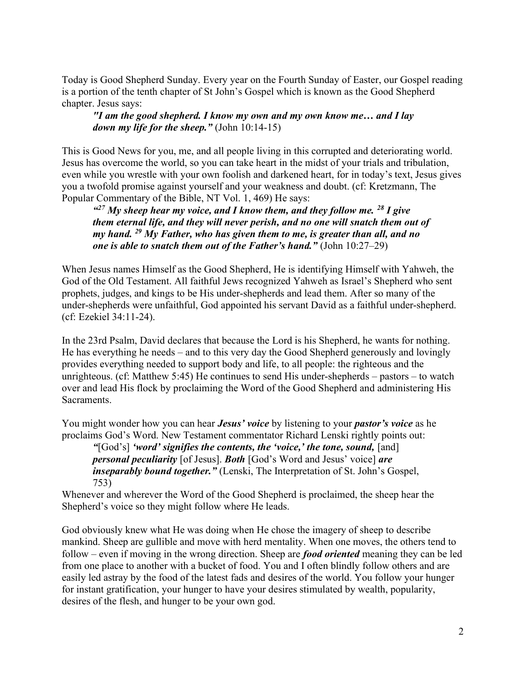Today is Good Shepherd Sunday. Every year on the Fourth Sunday of Easter, our Gospel reading is a portion of the tenth chapter of St John's Gospel which is known as the Good Shepherd chapter. Jesus says:

"I am the good shepherd. I know my own and my own know me… and I lay down my life for the sheep." (John 10:14-15)

This is Good News for you, me, and all people living in this corrupted and deteriorating world. Jesus has overcome the world, so you can take heart in the midst of your trials and tribulation, even while you wrestle with your own foolish and darkened heart, for in today's text, Jesus gives you a twofold promise against yourself and your weakness and doubt. (cf: Kretzmann, The Popular Commentary of the Bible, NT Vol. 1, 469) He says:

"<sup>27</sup> My sheep hear my voice, and I know them, and they follow me.  $^{28}$  I give them eternal life, and they will never perish, and no one will snatch them out of my hand.  $^{29}$  My Father, who has given them to me, is greater than all, and no one is able to snatch them out of the Father's hand." (John  $10:27-29$ )

When Jesus names Himself as the Good Shepherd, He is identifying Himself with Yahweh, the God of the Old Testament. All faithful Jews recognized Yahweh as Israel's Shepherd who sent prophets, judges, and kings to be His under-shepherds and lead them. After so many of the under-shepherds were unfaithful, God appointed his servant David as a faithful under-shepherd. (cf: Ezekiel 34:11-24).

In the 23rd Psalm, David declares that because the Lord is his Shepherd, he wants for nothing. He has everything he needs – and to this very day the Good Shepherd generously and lovingly provides everything needed to support body and life, to all people: the righteous and the unrighteous. (cf: Matthew 5:45) He continues to send His under-shepherds – pastors – to watch over and lead His flock by proclaiming the Word of the Good Shepherd and administering His Sacraments.

You might wonder how you can hear **Jesus' voice** by listening to your **pastor's voice** as he proclaims God's Word. New Testament commentator Richard Lenski rightly points out:

"[God's] 'word' signifies the contents, the 'voice,' the tone, sound, [and] personal peculiarity [of Jesus]. Both [God's Word and Jesus' voice] are inseparably bound together." (Lenski, The Interpretation of St. John's Gospel, 753)

Whenever and wherever the Word of the Good Shepherd is proclaimed, the sheep hear the Shepherd's voice so they might follow where He leads.

God obviously knew what He was doing when He chose the imagery of sheep to describe mankind. Sheep are gullible and move with herd mentality. When one moves, the others tend to follow – even if moving in the wrong direction. Sheep are *food oriented* meaning they can be led from one place to another with a bucket of food. You and I often blindly follow others and are easily led astray by the food of the latest fads and desires of the world. You follow your hunger for instant gratification, your hunger to have your desires stimulated by wealth, popularity, desires of the flesh, and hunger to be your own god.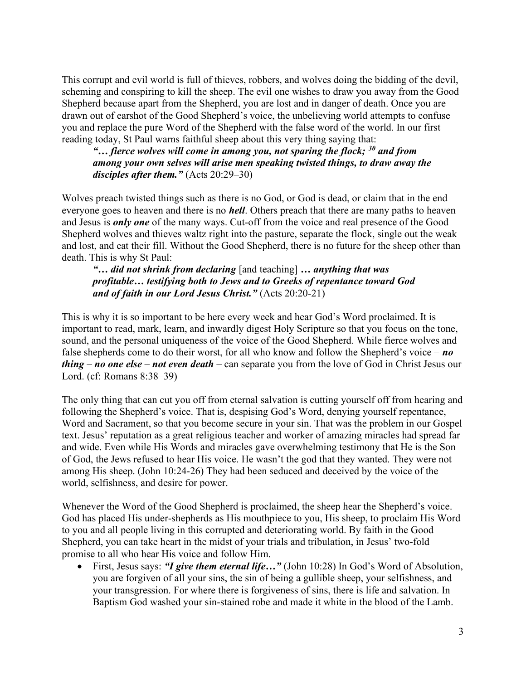This corrupt and evil world is full of thieves, robbers, and wolves doing the bidding of the devil, scheming and conspiring to kill the sheep. The evil one wishes to draw you away from the Good Shepherd because apart from the Shepherd, you are lost and in danger of death. Once you are drawn out of earshot of the Good Shepherd's voice, the unbelieving world attempts to confuse you and replace the pure Word of the Shepherd with the false word of the world. In our first reading today, St Paul warns faithful sheep about this very thing saying that:

"... fierce wolves will come in among you, not sparing the flock;  $30$  and from among your own selves will arise men speaking twisted things, to draw away the disciples after them."  $(Acts 20:29-30)$ 

Wolves preach twisted things such as there is no God, or God is dead, or claim that in the end everyone goes to heaven and there is no *hell*. Others preach that there are many paths to heaven and Jesus is *only one* of the many ways. Cut-off from the voice and real presence of the Good Shepherd wolves and thieves waltz right into the pasture, separate the flock, single out the weak and lost, and eat their fill. Without the Good Shepherd, there is no future for the sheep other than death. This is why St Paul:

"... did not shrink from declaring [and teaching] ... anything that was profitable… testifying both to Jews and to Greeks of repentance toward God and of faith in our Lord Jesus Christ." (Acts 20:20-21)

This is why it is so important to be here every week and hear God's Word proclaimed. It is important to read, mark, learn, and inwardly digest Holy Scripture so that you focus on the tone, sound, and the personal uniqueness of the voice of the Good Shepherd. While fierce wolves and false shepherds come to do their worst, for all who know and follow the Shepherd's voice –  $no$ thing – no one else – not even death – can separate you from the love of God in Christ Jesus our Lord. (cf: Romans 8:38–39)

The only thing that can cut you off from eternal salvation is cutting yourself off from hearing and following the Shepherd's voice. That is, despising God's Word, denying yourself repentance, Word and Sacrament, so that you become secure in your sin. That was the problem in our Gospel text. Jesus' reputation as a great religious teacher and worker of amazing miracles had spread far and wide. Even while His Words and miracles gave overwhelming testimony that He is the Son of God, the Jews refused to hear His voice. He wasn't the god that they wanted. They were not among His sheep. (John 10:24-26) They had been seduced and deceived by the voice of the world, selfishness, and desire for power.

Whenever the Word of the Good Shepherd is proclaimed, the sheep hear the Shepherd's voice. God has placed His under-shepherds as His mouthpiece to you, His sheep, to proclaim His Word to you and all people living in this corrupted and deteriorating world. By faith in the Good Shepherd, you can take heart in the midst of your trials and tribulation, in Jesus' two-fold promise to all who hear His voice and follow Him.

• First, Jesus says: "I give them eternal life..." (John 10:28) In God's Word of Absolution, you are forgiven of all your sins, the sin of being a gullible sheep, your selfishness, and your transgression. For where there is forgiveness of sins, there is life and salvation. In Baptism God washed your sin-stained robe and made it white in the blood of the Lamb.